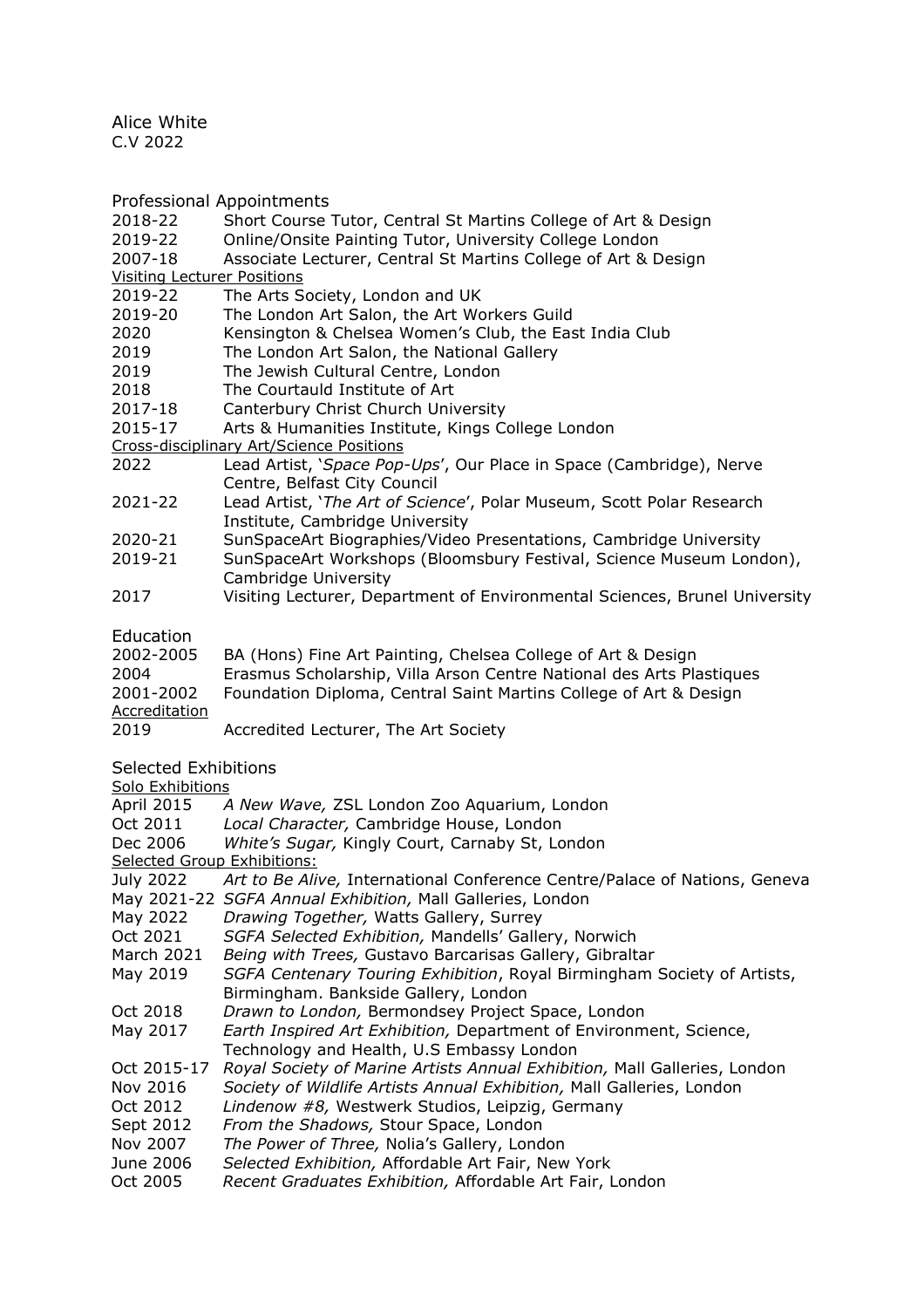Alice White C.V 2022

Professional Appointments

- 2018-22 Short Course Tutor, Central St Martins College of Art & Design
- 2019-22 Online/Onsite Painting Tutor, University College London
- 2007-18 Associate Lecturer, Central St Martins College of Art & Design
- Visiting Lecturer Positions
- 2019-22 The Arts Society, London and UK
- 2019-20 The London Art Salon, the Art Workers Guild<br>2020 Kensington & Chelsea Women's Club, the Eas
- Kensington & Chelsea Women's Club, the East India Club
- 2019 The London Art Salon, the National Gallery<br>2019 The Jewish Cultural Centre, London
- 2019 The Jewish Cultural Centre, London<br>2018 The Courtauld Institute of Art
- The Courtauld Institute of Art
- 2017-18 Canterbury Christ Church University
- 2015-17 Arts & Humanities Institute, Kings College London
- Cross-disciplinary Art/Science Positions
- 2022 Lead Artist, '*Space Pop-Ups*', Our Place in Space (Cambridge), Nerve Centre, Belfast City Council
- 2021-22 Lead Artist, '*The Art of Science*', Polar Museum, Scott Polar Research Institute, Cambridge University
- 2020-21 SunSpaceArt Biographies/Video Presentations, Cambridge University
- 2019-21 SunSpaceArt Workshops (Bloomsbury Festival, Science Museum London), Cambridge University
- 2017 Visiting Lecturer, Department of Environmental Sciences, Brunel University

**Education** 

| 2002-2005     | BA (Hons) Fine Art Painting, Chelsea College of Art & Design         |
|---------------|----------------------------------------------------------------------|
| 2004          | Erasmus Scholarship, Villa Arson Centre National des Arts Plastiques |
| 2001-2002     | Foundation Diploma, Central Saint Martins College of Art & Design    |
| Accreditation |                                                                      |
| 2019          | Accredited Lecturer, The Art Society                                 |

Selected Exhibitions

Solo Exhibitions

| <b>April 2015</b>           | A New Wave, ZSL London Zoo Aquarium, London                                |  |  |
|-----------------------------|----------------------------------------------------------------------------|--|--|
| Oct 2011                    | Local Character, Cambridge House, London                                   |  |  |
| Dec 2006                    | White's Sugar, Kingly Court, Carnaby St, London                            |  |  |
| Selected Group Exhibitions: |                                                                            |  |  |
| July 2022                   | Art to Be Alive, International Conference Centre/Palace of Nations, Geneva |  |  |
|                             | May 2021-22 SGFA Annual Exhibition, Mall Galleries, London                 |  |  |
| May 2022                    | Drawing Together, Watts Gallery, Surrey                                    |  |  |
| Oct 2021                    | SGFA Selected Exhibition, Mandells' Gallery, Norwich                       |  |  |
| March 2021                  | Being with Trees, Gustavo Barcarisas Gallery, Gibraltar                    |  |  |
| May 2019                    | SGFA Centenary Touring Exhibition, Royal Birmingham Society of Artists,    |  |  |
|                             | Birmingham. Bankside Gallery, London                                       |  |  |
| Oct 2018                    | Drawn to London, Bermondsey Project Space, London                          |  |  |
| May 2017                    | Earth Inspired Art Exhibition, Department of Environment, Science,         |  |  |
|                             | Technology and Health, U.S Embassy London                                  |  |  |
| Oct 2015-17                 | Royal Society of Marine Artists Annual Exhibition, Mall Galleries, London  |  |  |
| Nov 2016                    | Society of Wildlife Artists Annual Exhibition, Mall Galleries, London      |  |  |
| Oct 2012                    | Lindenow #8, Westwerk Studios, Leipzig, Germany                            |  |  |
| Sept 2012                   | From the Shadows, Stour Space, London                                      |  |  |
| Nov 2007                    | The Power of Three, Nolia's Gallery, London                                |  |  |
| June 2006                   | Selected Exhibition, Affordable Art Fair, New York                         |  |  |
| Oct 2005                    | Recent Graduates Exhibition, Affordable Art Fair, London                   |  |  |